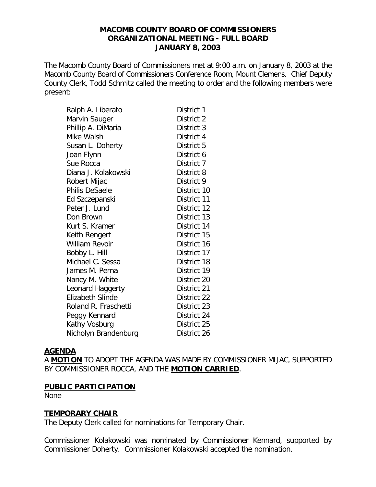#### **MACOMB COUNTY BOARD OF COMMISSIONERS ORGANIZATIONAL MEETING - FULL BOARD JANUARY 8, 2003**

The Macomb County Board of Commissioners met at 9:00 a.m. on January 8, 2003 at the Macomb County Board of Commissioners Conference Room, Mount Clemens. Chief Deputy County Clerk, Todd Schmitz called the meeting to order and the following members were present:

| Ralph A. Liberato    | District 1  |
|----------------------|-------------|
| Marvin Sauger        | District 2  |
| Phillip A. DiMaria   | District 3  |
| Mike Walsh           | District 4  |
| Susan L. Doherty     | District 5  |
| Joan Flynn           | District 6  |
| Sue Rocca            | District 7  |
| Diana J. Kolakowski  | District 8  |
| Robert Mijac         | District 9  |
| Philis DeSaele       | District 10 |
| Ed Szczepanski       | District 11 |
| Peter J. Lund        | District 12 |
| Don Brown            | District 13 |
| Kurt S. Kramer       | District 14 |
| Keith Rengert        | District 15 |
| William Revoir       | District 16 |
| Bobby L. Hill        | District 17 |
| Michael C. Sessa     | District 18 |
| James M. Perna       | District 19 |
| Nancy M. White       | District 20 |
| Leonard Haggerty     | District 21 |
| Elizabeth Slinde     | District 22 |
| Roland R. Fraschetti | District 23 |
| Peggy Kennard        | District 24 |
| Kathy Vosburg        | District 25 |
| Nicholyn Brandenburg | District 26 |

#### **AGENDA**

A **MOTION** TO ADOPT THE AGENDA WAS MADE BY COMMISSIONER MIJAC, SUPPORTED BY COMMISSIONER ROCCA, AND THE **MOTION CARRIED**.

#### **PUBLIC PARTICIPATION**

None

#### **TEMPORARY CHAIR**

The Deputy Clerk called for nominations for Temporary Chair.

Commissioner Kolakowski was nominated by Commissioner Kennard, supported by Commissioner Doherty. Commissioner Kolakowski accepted the nomination.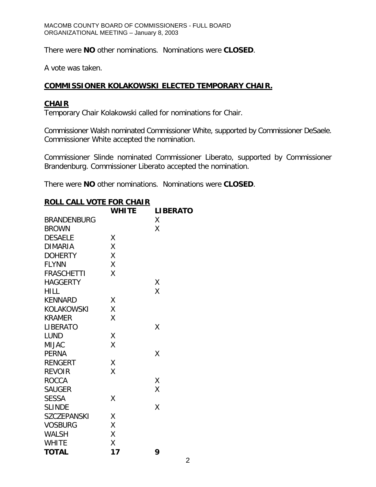There were **NO** other nominations. Nominations were **CLOSED**.

A vote was taken.

# **COMMISSIONER KOLAKOWSKI ELECTED TEMPORARY CHAIR.**

## **CHAIR**

Temporary Chair Kolakowski called for nominations for Chair.

Commissioner Walsh nominated Commissioner White, supported by Commissioner DeSaele. Commissioner White accepted the nomination.

Commissioner Slinde nominated Commissioner Liberato, supported by Commissioner Brandenburg. Commissioner Liberato accepted the nomination.

There were **NO** other nominations. Nominations were **CLOSED**.

| <b>ROLL CALL VOTE FOR CHAIR</b> |              |                 |  |  |
|---------------------------------|--------------|-----------------|--|--|
|                                 | <b>WHITE</b> | <b>LIBERATO</b> |  |  |
| <b>BRANDENBURG</b>              |              | X               |  |  |
| <b>BROWN</b>                    |              | Χ               |  |  |
| <b>DESAELE</b>                  | Χ            |                 |  |  |
| <b>DIMARIA</b>                  | Χ            |                 |  |  |
| <b>DOHERTY</b>                  | Χ            |                 |  |  |
| <b>FLYNN</b>                    | Χ            |                 |  |  |
| <b>FRASCHETTI</b>               | X            |                 |  |  |
| <b>HAGGERTY</b>                 |              | Χ               |  |  |
| <b>HILL</b>                     |              | Χ               |  |  |
| <b>KENNARD</b>                  | Χ            |                 |  |  |
| KOLAKOWSKI                      | Χ            |                 |  |  |
| <b>KRAMER</b>                   | Χ            |                 |  |  |
| <b>LIBERATO</b>                 |              | Χ               |  |  |
| <b>LUND</b>                     | Χ            |                 |  |  |
| <b>MIJAC</b>                    | X            |                 |  |  |
| <b>PERNA</b>                    |              | Χ               |  |  |
| <b>RENGERT</b>                  | Χ            |                 |  |  |
| <b>REVOIR</b>                   | Χ            |                 |  |  |
| <b>ROCCA</b>                    |              | Χ               |  |  |
| SAUGER                          |              | X               |  |  |
| <b>SESSA</b>                    | X            |                 |  |  |
| <b>SLINDE</b>                   |              | X               |  |  |
| <b>SZCZEPANSKI</b>              | Χ            |                 |  |  |
| <b>VOSBURG</b>                  | X            |                 |  |  |
| <b>WALSH</b>                    | Χ            |                 |  |  |
| <b>WHITE</b>                    | Χ            |                 |  |  |
| <b>TOTAL</b>                    | 17           | 9               |  |  |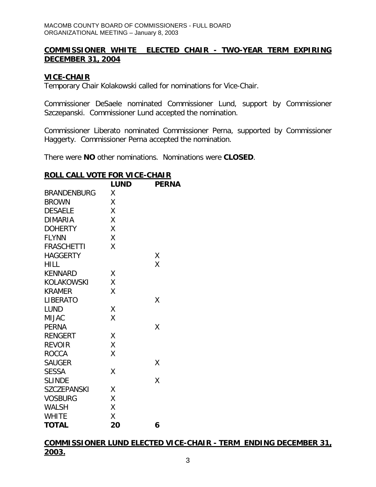## **COMMISSIONER WHITE ELECTED CHAIR - TWO-YEAR TERM EXPIRING DECEMBER 31, 2004**

## **VICE-CHAIR**

Temporary Chair Kolakowski called for nominations for Vice-Chair.

Commissioner DeSaele nominated Commissioner Lund, support by Commissioner Szczepanski. Commissioner Lund accepted the nomination.

Commissioner Liberato nominated Commissioner Perna, supported by Commissioner Haggerty. Commissioner Perna accepted the nomination.

There were **NO** other nominations. Nominations were **CLOSED**.

|                    | <b>LUND</b> | <b>PERNA</b> |
|--------------------|-------------|--------------|
| <b>BRANDENBURG</b> | Χ           |              |
| <b>BROWN</b>       | Χ           |              |
| <b>DESAELE</b>     | Χ           |              |
| <b>DIMARIA</b>     | Χ           |              |
| <b>DOHERTY</b>     | X           |              |
| <b>FLYNN</b>       | Χ           |              |
| <b>FRASCHETTI</b>  | X           |              |
| <b>HAGGERTY</b>    |             | Χ            |
| <b>HILL</b>        |             | X            |
| <b>KENNARD</b>     | Χ           |              |
| KOLAKOWSKI         | Χ           |              |
| <b>KRAMER</b>      | Χ           |              |
| LIBERATO           |             | X            |
| <b>LUND</b>        | Χ           |              |
| <b>MIJAC</b>       | Χ           |              |
| <b>PERNA</b>       |             | X            |
| <b>RENGERT</b>     | Χ           |              |
| <b>REVOIR</b>      | Χ           |              |
| <b>ROCCA</b>       | Χ           |              |
| <b>SAUGER</b>      |             | Χ            |
| <b>SESSA</b>       | X           |              |
| <b>SLINDE</b>      |             | Χ            |
| <b>SZCZEPANSKI</b> | Χ           |              |
| <b>VOSBURG</b>     | Χ           |              |
| <b>WALSH</b>       | Χ           |              |
| <b>WHITE</b>       | X           |              |
| <b>TOTAL</b>       | 20          | 6            |

#### **ROLL CALL VOTE FOR VICE-CHAIR**

**COMMISSIONER LUND ELECTED VICE-CHAIR - TERM ENDING DECEMBER 31, 2003.**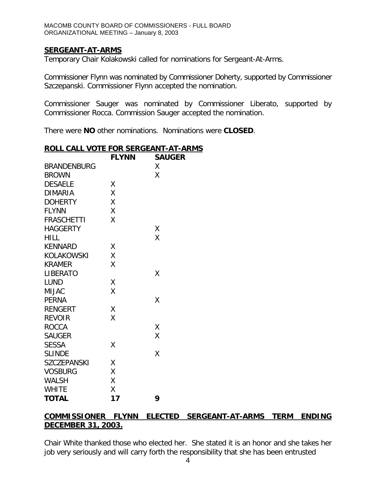## **SERGEANT-AT-ARMS**

Temporary Chair Kolakowski called for nominations for Sergeant-At-Arms.

Commissioner Flynn was nominated by Commissioner Doherty, supported by Commissioner Szczepanski. Commissioner Flynn accepted the nomination.

Commissioner Sauger was nominated by Commissioner Liberato, supported by Commissioner Rocca. Commission Sauger accepted the nomination.

There were **NO** other nominations. Nominations were **CLOSED**.

## **ROLL CALL VOTE FOR SERGEANT-AT-ARMS**

|                    | <b>FLYNN</b> | <b>SAUGER</b> |
|--------------------|--------------|---------------|
| <b>BRANDENBURG</b> |              | X             |
| <b>BROWN</b>       |              | Χ             |
| <b>DESAELE</b>     | Χ            |               |
| <b>DIMARIA</b>     | X            |               |
| <b>DOHERTY</b>     | X            |               |
| <b>FLYNN</b>       | Χ            |               |
| <b>FRASCHETTI</b>  | Χ            |               |
| <b>HAGGERTY</b>    |              | Χ             |
| <b>HILL</b>        |              | X             |
| <b>KENNARD</b>     | X            |               |
| <b>KOLAKOWSKI</b>  | X            |               |
| <b>KRAMER</b>      | Χ            |               |
| <b>LIBERATO</b>    |              | X             |
| <b>LUND</b>        | Χ            |               |
| <b>MIJAC</b>       | X            |               |
| <b>PERNA</b>       |              | Χ             |
| <b>RENGERT</b>     | Χ            |               |
| <b>REVOIR</b>      | X            |               |
| <b>ROCCA</b>       |              | Χ             |
| <b>SAUGER</b>      |              | X             |
| <b>SESSA</b>       | X            |               |
| <b>SLINDE</b>      |              | X             |
| <b>SZCZEPANSKI</b> | Χ            |               |
| <b>VOSBURG</b>     | Χ            |               |
| <b>WALSH</b>       | Χ            |               |
| <b>WHITE</b>       | Χ            |               |
| <b>TOTAL</b>       | 17           | 9             |

# **COMMISSIONER FLYNN ELECTED SERGEANT-AT-ARMS TERM ENDING DECEMBER 31, 2003.**

Chair White thanked those who elected her. She stated it is an honor and she takes her job very seriously and will carry forth the responsibility that she has been entrusted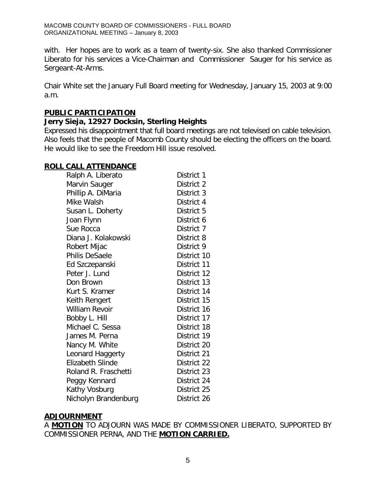with. Her hopes are to work as a team of twenty-six. She also thanked Commissioner Liberato for his services a Vice-Chairman and Commissioner Sauger for his service as Sergeant-At-Arms.

Chair White set the January Full Board meeting for Wednesday, January 15, 2003 at 9:00 a.m.

## **PUBLIC PARTICIPATION**

## *Jerry Sieja, 12927 Docksin, Sterling Heights*

Expressed his disappointment that full board meetings are not televised on cable television. Also feels that the people of Macomb County should be electing the officers on the board. He would like to see the Freedom Hill issue resolved.

#### **ROLL CALL ATTENDANCE**

| Ralph A. Liberato       | District 1  |
|-------------------------|-------------|
| Marvin Sauger           | District 2  |
| Phillip A. DiMaria      | District 3  |
| Mike Walsh              | District 4  |
| Susan L. Doherty        | District 5  |
| Joan Flynn              | District 6  |
| Sue Rocca               | District 7  |
| Diana J. Kolakowski     | District 8  |
| Robert Mijac            | District 9  |
| Philis DeSaele          | District 10 |
| Ed Szczepanski          | District 11 |
| Peter J. Lund           | District 12 |
| Don Brown               | District 13 |
| Kurt S. Kramer          | District 14 |
| Keith Rengert           | District 15 |
| <b>William Revoir</b>   | District 16 |
| Bobby L. Hill           | District 17 |
| Michael C. Sessa        | District 18 |
| James M. Perna          | District 19 |
| Nancy M. White          | District 20 |
| Leonard Haggerty        | District 21 |
| <b>Elizabeth Slinde</b> | District 22 |
| Roland R. Fraschetti    | District 23 |
| Peggy Kennard           | District 24 |
| Kathy Vosburg           | District 25 |
| Nicholyn Brandenburg    | District 26 |

#### **ADJOURNMENT**

A **MOTION** TO ADJOURN WAS MADE BY COMMISSIONER LIBERATO, SUPPORTED BY COMMISSIONER PERNA, AND THE **MOTION CARRIED.**